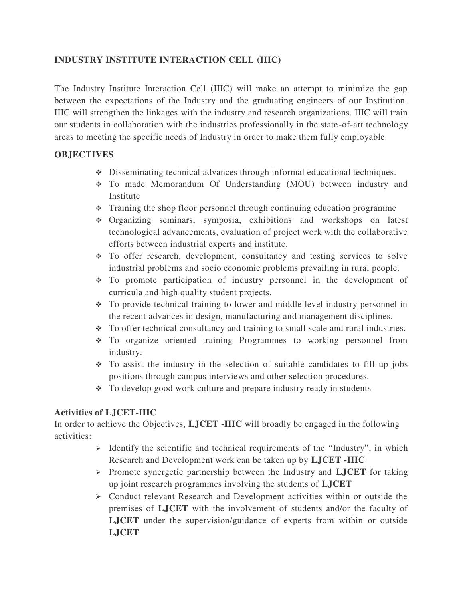## **INDUSTRY INSTITUTE INTERACTION CELL (IIIC)**

The Industry Institute Interaction Cell (IIIC) will make an attempt to minimize the gap between the expectations of the Industry and the graduating engineers of our Institution. IIIC will strengthen the linkages with the industry and research organizations. IIIC will train our students in collaboration with the industries professionally in the state-of-art technology areas to meeting the specific needs of Industry in order to make them fully employable.

## **OBJECTIVES**

- Disseminating technical advances through informal educational techniques.
- To made Memorandum Of Understanding (MOU) between industry and Institute
- Training the shop floor personnel through continuing education programme
- Organizing seminars, symposia, exhibitions and workshops on latest technological advancements, evaluation of project work with the collaborative efforts between industrial experts and institute.
- To offer research, development, consultancy and testing services to solve industrial problems and socio economic problems prevailing in rural people.
- To promote participation of industry personnel in the development of curricula and high quality student projects.
- To provide technical training to lower and middle level industry personnel in the recent advances in design, manufacturing and management disciplines.
- To offer technical consultancy and training to small scale and rural industries.
- To organize oriented training Programmes to working personnel from industry.
- To assist the industry in the selection of suitable candidates to fill up jobs positions through campus interviews and other selection procedures.
- To develop good work culture and prepare industry ready in students

## **Activities of LJCET-IIIC**

In order to achieve the Objectives, **LJCET -IIIC** will broadly be engaged in the following activities:

- $\triangleright$  Identify the scientific and technical requirements of the "Industry", in which Research and Development work can be taken up by **LJCET -IIIC**
- $\triangleright$  Promote synergetic partnership between the Industry and **LJCET** for taking up joint research programmes involving the students of **LJCET**
- Conduct relevant Research and Development activities within or outside the premises of **LJCET** with the involvement of students and/or the faculty of **LJCET** under the supervision/guidance of experts from within or outside **LJCET**